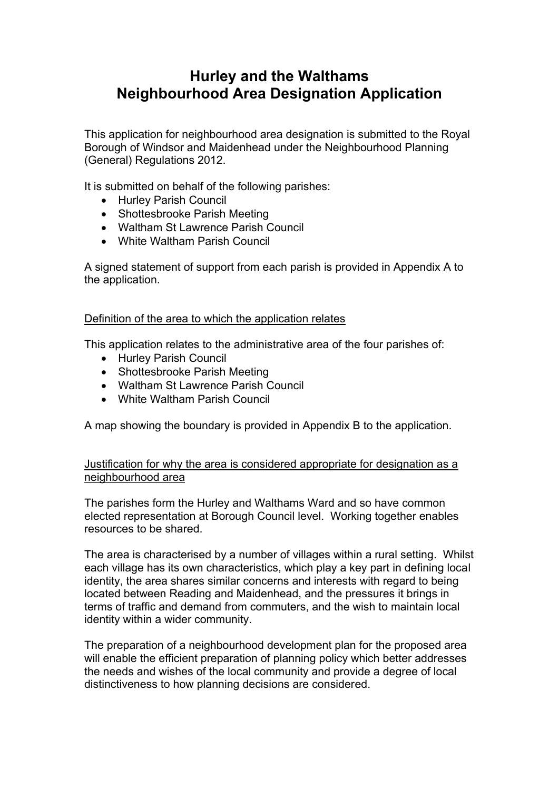## **Hurley and the Walthams Neighbourhood Area Designation Application**

This application for neighbourhood area designation is submitted to the Royal Borough of Windsor and Maidenhead under the Neighbourhood Planning (General) Regulations 2012.

It is submitted on behalf of the following parishes:

- Hurley Parish Council
- Shottesbrooke Parish Meeting
- Waltham St Lawrence Parish Council
- White Waltham Parish Council

A signed statement of support from each parish is provided in Appendix A to the application.

### Definition of the area to which the application relates

This application relates to the administrative area of the four parishes of:

- Hurley Parish Council
- Shottesbrooke Parish Meeting
- Waltham St Lawrence Parish Council
- White Waltham Parish Council

A map showing the boundary is provided in Appendix B to the application.

### Justification for why the area is considered appropriate for designation as a neighbourhood area

The parishes form the Hurley and Walthams Ward and so have common elected representation at Borough Council level. Working together enables resources to be shared.

The area is characterised by a number of villages within a rural setting. Whilst each village has its own characteristics, which play a key part in defining local identity, the area shares similar concerns and interests with regard to being located between Reading and Maidenhead, and the pressures it brings in terms of traffic and demand from commuters, and the wish to maintain local identity within a wider community.

The preparation of a neighbourhood development plan for the proposed area will enable the efficient preparation of planning policy which better addresses the needs and wishes of the local community and provide a degree of local distinctiveness to how planning decisions are considered.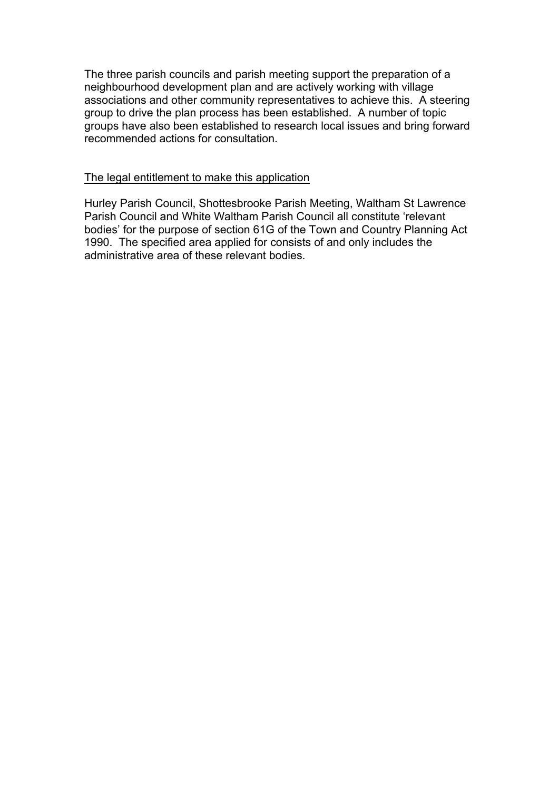The three parish councils and parish meeting support the preparation of a neighbourhood development plan and are actively working with village associations and other community representatives to achieve this. A steering group to drive the plan process has been established. A number of topic groups have also been established to research local issues and bring forward recommended actions for consultation.

#### The legal entitlement to make this application

Hurley Parish Council, Shottesbrooke Parish Meeting, Waltham St Lawrence Parish Council and White Waltham Parish Council all constitute 'relevant bodies' for the purpose of section 61G of the Town and Country Planning Act 1990. The specified area applied for consists of and only includes the administrative area of these relevant bodies.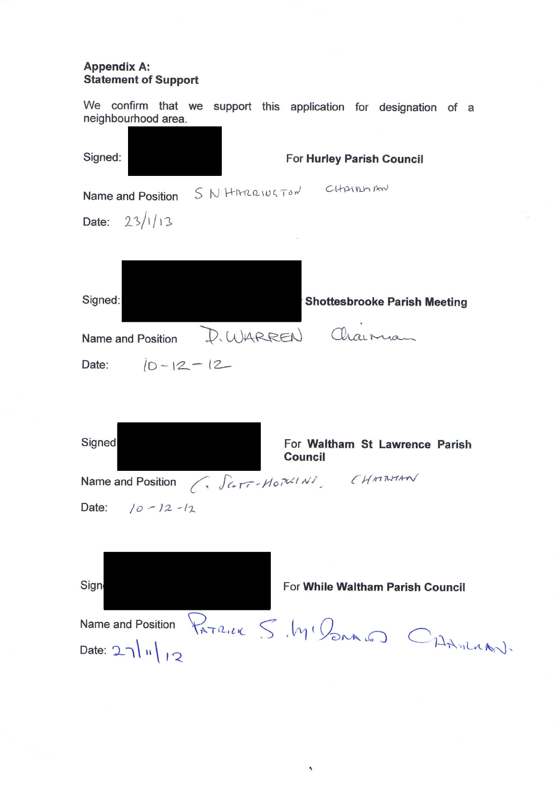# **Appendix A:<br>Statement of Support**

We confirm that we support this application for designation of a neighbourhood area.

| Signed:                                                                                                                 | For Hurley Parish Council                        |
|-------------------------------------------------------------------------------------------------------------------------|--------------------------------------------------|
| Name and Position SN HARRIUGTON CHAIRMAN                                                                                |                                                  |
| Date: $23/1/13$                                                                                                         |                                                  |
|                                                                                                                         |                                                  |
| Signed:                                                                                                                 | <b>Shottesbrooke Parish Meeting</b>              |
| Name and Position                                                                                                       | D. WARREN Chairman                               |
| Date: $ 0 - 12 - 12 -$                                                                                                  |                                                  |
| Signed<br>Name and Position $\left(\sqrt{\mathcal{L}}\mathcal{T} - \mathcal{H}\mathcal{L}\mathcal{H}\mathcal{H}\right)$ | For Waltham St Lawrence Parish<br><b>Council</b> |
| Date: $10 - 12 - 12$                                                                                                    |                                                  |
|                                                                                                                         |                                                  |
| Sign                                                                                                                    | For While Waltham Parish Council                 |
|                                                                                                                         | Name and Position PATRICK S. MI PONALD CHAMLIAN. |
| Date: $2\lambda \sqrt{N}$                                                                                               |                                                  |

 $\bar{\mathbf{v}}$